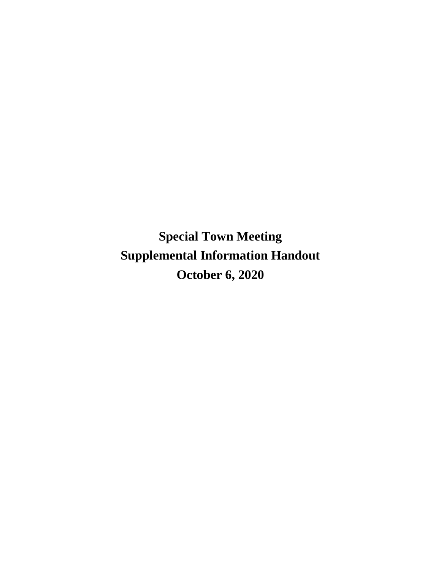**Special Town Meeting Supplemental Information Handout October 6, 2020**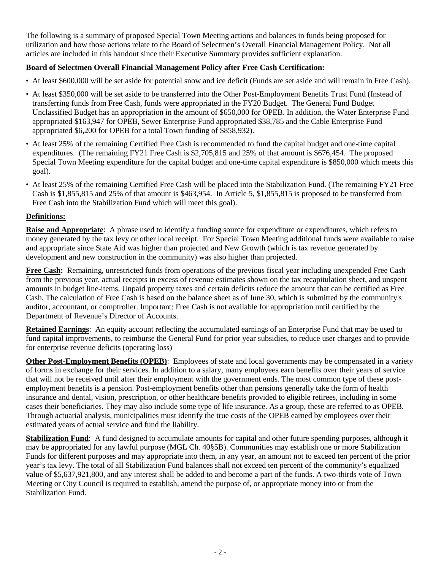The following is a summary of proposed Special Town Meeting actions and balances in funds being proposed for utilization and how those actions relate to the Board of Selectmen's Overall Financial Management Policy. Not all articles are included in this handout since their Executive Summary provides sufficient explanation.

## **Board of Selectmen Overall Financial Management Policy after Free Cash Certification:**

- At least \$600,000 will be set aside for potential snow and ice deficit (Funds are set aside and will remain in Free Cash).
- At least \$350,000 will be set aside to be transferred into the Other Post-Employment Benefits Trust Fund (Instead of transferring funds from Free Cash, funds were appropriated in the FY20 Budget. The General Fund Budget Unclassified Budget has an appropriation in the amount of \$650,000 for OPEB. In addition, the Water Enterprise Fund appropriated \$163,947 for OPEB, Sewer Enterprise Fund appropriated \$38,785 and the Cable Enterprise Fund appropriated \$6,200 for OPEB for a total Town funding of \$858,932).
- At least 25% of the remaining Certified Free Cash is recommended to fund the capital budget and one-time capital expenditures. (The remaining FY21 Free Cash is \$2,705,815 and 25% of that amount is \$676,454. The proposed Special Town Meeting expenditure for the capital budget and one-time capital expenditure is \$850,000 which meets this goal).
- At least 25% of the remaining Certified Free Cash will be placed into the Stabilization Fund. (The remaining FY21 Free Cash is \$1,855,815 and 25% of that amount is \$463,954. In Article 5, \$1,855,815 is proposed to be transferred from Free Cash into the Stabilization Fund which will meet this goal).

## **Definitions:**

**Raise and Appropriate**: A phrase used to identify a funding source for expenditure or expenditures, which refers to money generated by the tax levy or other local receipt. For Special Town Meeting additional funds were available to raise and appropriate since State Aid was higher than projected and New Growth (which is tax revenue generated by development and new construction in the community) was also higher than projected.

**Free Cash:** Remaining, unrestricted funds from operations of the previous fiscal year including unexpended Free Cash from the previous year, actual receipts in excess of revenue estimates shown on the tax recapitulation sheet, and unspent amounts in budget line-items. Unpaid property taxes and certain deficits reduce the amount that can be certified as Free Cash. The calculation of Free Cash is based on the balance sheet as of June 30, which is submitted by the community's auditor, accountant, or comptroller. Important: Free Cash is not available for appropriation until certified by the Department of Revenue's Director of Accounts.

**Retained Earnings**: An equity account reflecting the accumulated earnings of an Enterprise Fund that may be used to fund capital improvements, to reimburse the General Fund for prior year subsidies, to reduce user charges and to provide for enterprise revenue deficits (operating loss)

**Other Post-Employment Benefits (OPEB)**: Employees of state and local governments may be compensated in a variety of forms in exchange for their services. In addition to a salary, many employees earn benefits over their years of service that will not be received until after their employment with the government ends. The most common type of these postemployment benefits is a pension. Post-employment benefits other than pensions generally take the form of health insurance and dental, vision, prescription, or other healthcare benefits provided to eligible retirees, including in some cases their beneficiaries. They may also include some type of life insurance. As a group, these are referred to as OPEB. Through actuarial analysis, municipalities must identify the true costs of the OPEB earned by employees over their estimated years of actual service and fund the liability.

**Stabilization Fund**: A fund designed to accumulate amounts for capital and other future spending purposes, although it may be appropriated for any lawful purpose (MGL Ch. 40§5B). Communities may establish one or more Stabilization Funds for different purposes and may appropriate into them, in any year, an amount not to exceed ten percent of the prior year's tax levy. The total of all Stabilization Fund balances shall not exceed ten percent of the community's equalized value of \$5,637,921,800, and any interest shall be added to and become a part of the funds. A two-thirds vote of Town Meeting or City Council is required to establish, amend the purpose of, or appropriate money into or from the Stabilization Fund.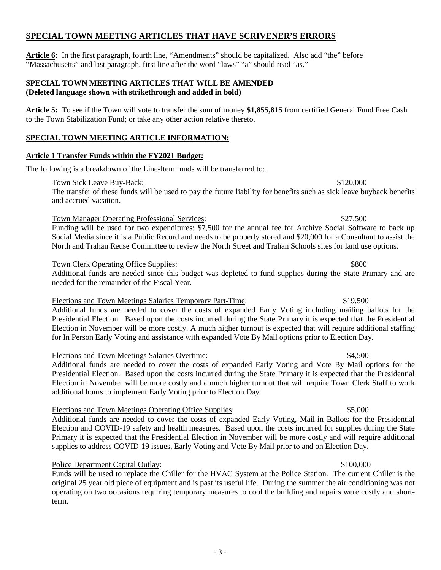# **SPECIAL TOWN MEETING ARTICLES THAT HAVE SCRIVENER'S ERRORS**

Article 6: In the first paragraph, fourth line, "Amendments" should be capitalized. Also add "the" before "Massachusetts" and last paragraph, first line after the word "laws" "a" should read "as."

## **SPECIAL TOWN MEETING ARTICLES THAT WILL BE AMENDED (Deleted language shown with strikethrough and added in bold)**

**Article 5:** To see if the Town will vote to transfer the sum of money **\$1,855,815** from certified General Fund Free Cash to the Town Stabilization Fund; or take any other action relative thereto.

# **SPECIAL TOWN MEETING ARTICLE INFORMATION:**

## **Article 1 Transfer Funds within the FY2021 Budget:**

The following is a breakdown of the Line-Item funds will be transferred to:

## Town Sick Leave Buy-Back:  $$120,000$

The transfer of these funds will be used to pay the future liability for benefits such as sick leave buyback benefits and accrued vacation.

## Town Manager Operating Professional Services: \$27,500

Funding will be used for two expenditures: \$7,500 for the annual fee for Archive Social Software to back up Social Media since it is a Public Record and needs to be properly stored and \$20,000 for a Consultant to assist the North and Trahan Reuse Committee to review the North Street and Trahan Schools sites for land use options.

## Town Clerk Operating Office Supplies:  $$800$

Additional funds are needed since this budget was depleted to fund supplies during the State Primary and are needed for the remainder of the Fiscal Year.

# Elections and Town Meetings Salaries Temporary Part-Time: \$19,500

Additional funds are needed to cover the costs of expanded Early Voting including mailing ballots for the Presidential Election. Based upon the costs incurred during the State Primary it is expected that the Presidential Election in November will be more costly. A much higher turnout is expected that will require additional staffing for In Person Early Voting and assistance with expanded Vote By Mail options prior to Election Day.

# Elections and Town Meetings Salaries Overtime: \$4,500

Additional funds are needed to cover the costs of expanded Early Voting and Vote By Mail options for the Presidential Election. Based upon the costs incurred during the State Primary it is expected that the Presidential Election in November will be more costly and a much higher turnout that will require Town Clerk Staff to work additional hours to implement Early Voting prior to Election Day.

# Elections and Town Meetings Operating Office Supplies: \$5,000

Additional funds are needed to cover the costs of expanded Early Voting, Mail-in Ballots for the Presidential Election and COVID-19 safety and health measures. Based upon the costs incurred for supplies during the State Primary it is expected that the Presidential Election in November will be more costly and will require additional supplies to address COVID-19 issues, Early Voting and Vote By Mail prior to and on Election Day.

# Police Department Capital Outlay:  $$100,000$

Funds will be used to replace the Chiller for the HVAC System at the Police Station. The current Chiller is the original 25 year old piece of equipment and is past its useful life. During the summer the air conditioning was not operating on two occasions requiring temporary measures to cool the building and repairs were costly and shortterm.

- 3 -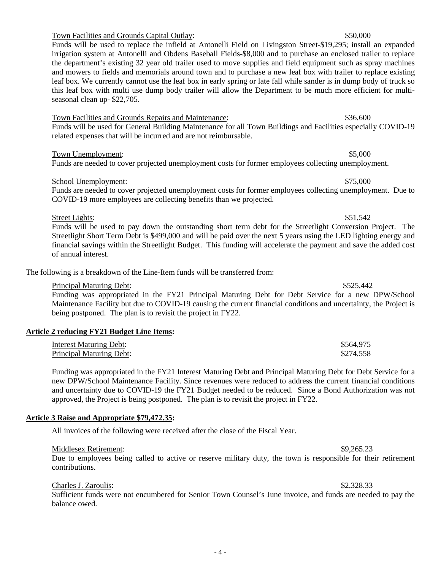### Town Facilities and Grounds Capital Outlay: \$50,000

Funds will be used to replace the infield at Antonelli Field on Livingston Street-\$19,295; install an expanded irrigation system at Antonelli and Obdens Baseball Fields-\$8,000 and to purchase an enclosed trailer to replace the department's existing 32 year old trailer used to move supplies and field equipment such as spray machines and mowers to fields and memorials around town and to purchase a new leaf box with trailer to replace existing leaf box. We currently cannot use the leaf box in early spring or late fall while sander is in dump body of truck so this leaf box with multi use dump body trailer will allow the Department to be much more efficient for multiseasonal clean up- \$22,705.

### Town Facilities and Grounds Repairs and Maintenance: \$36,600

Funds will be used for General Building Maintenance for all Town Buildings and Facilities especially COVID-19 related expenses that will be incurred and are not reimbursable.

### Town Unemployment:  $$5,000$

## Funds are needed to cover projected unemployment costs for former employees collecting unemployment.

### School Unemployment:  $$75,000$

Funds are needed to cover projected unemployment costs for former employees collecting unemployment. Due to COVID-19 more employees are collecting benefits than we projected.

Street Lights: \$51,542 Funds will be used to pay down the outstanding short term debt for the Streetlight Conversion Project. The Streetlight Short Term Debt is \$499,000 and will be paid over the next 5 years using the LED lighting energy and financial savings within the Streetlight Budget. This funding will accelerate the payment and save the added cost of annual interest.

### The following is a breakdown of the Line-Item funds will be transferred from:

### Principal Maturing Debt:  $$525,442$ Funding was appropriated in the FY21 Principal Maturing Debt for Debt Service for a new DPW/School Maintenance Facility but due to COVID-19 causing the current financial conditions and uncertainty, the Project is being postponed. The plan is to revisit the project in FY22.

### **Article 2 reducing FY21 Budget Line Items:**

| Interest Maturing Debt:  | \$564,975 |
|--------------------------|-----------|
| Principal Maturing Debt: | \$274,558 |

Funding was appropriated in the FY21 Interest Maturing Debt and Principal Maturing Debt for Debt Service for a new DPW/School Maintenance Facility. Since revenues were reduced to address the current financial conditions and uncertainty due to COVID-19 the FY21 Budget needed to be reduced. Since a Bond Authorization was not approved, the Project is being postponed. The plan is to revisit the project in FY22.

### **Article 3 Raise and Appropriate \$79,472.35:**

All invoices of the following were received after the close of the Fiscal Year.

### Middlesex Retirement:  $\degree$  \$9,265.23

Due to employees being called to active or reserve military duty, the town is responsible for their retirement contributions.

### Charles J. Zaroulis: \$2,328.33

Sufficient funds were not encumbered for Senior Town Counsel's June invoice, and funds are needed to pay the balance owed.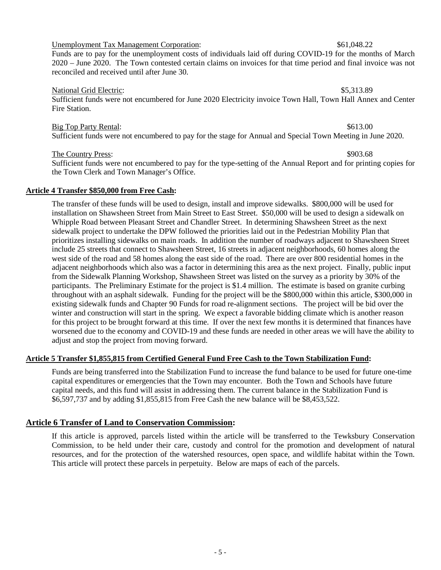## Unemployment Tax Management Corporation:  $$61,048.22$

Funds are to pay for the unemployment costs of individuals laid off during COVID-19 for the months of March 2020 – June 2020. The Town contested certain claims on invoices for that time period and final invoice was not reconciled and received until after June 30.

### National Grid Electric:  $$5,313.89$

Sufficient funds were not encumbered for June 2020 Electricity invoice Town Hall, Town Hall Annex and Center Fire Station.

### Big Top Party Rental:  $$613.00$

Sufficient funds were not encumbered to pay for the stage for Annual and Special Town Meeting in June 2020.

### The Country Press:  $\frac{$903.68}{2}$

Sufficient funds were not encumbered to pay for the type-setting of the Annual Report and for printing copies for the Town Clerk and Town Manager's Office.

### **Article 4 Transfer \$850,000 from Free Cash:**

The transfer of these funds will be used to design, install and improve sidewalks. \$800,000 will be used for installation on Shawsheen Street from Main Street to East Street. \$50,000 will be used to design a sidewalk on Whipple Road between Pleasant Street and Chandler Street. In determining Shawsheen Street as the next sidewalk project to undertake the DPW followed the priorities laid out in the Pedestrian Mobility Plan that prioritizes installing sidewalks on main roads. In addition the number of roadways adjacent to Shawsheen Street include 25 streets that connect to Shawsheen Street, 16 streets in adjacent neighborhoods, 60 homes along the west side of the road and 58 homes along the east side of the road. There are over 800 residential homes in the adjacent neighborhoods which also was a factor in determining this area as the next project. Finally, public input from the Sidewalk Planning Workshop, Shawsheen Street was listed on the survey as a priority by 30% of the participants. The Preliminary Estimate for the project is \$1.4 million. The estimate is based on granite curbing throughout with an asphalt sidewalk. Funding for the project will be the \$800,000 within this article, \$300,000 in existing sidewalk funds and Chapter 90 Funds for road re-alignment sections. The project will be bid over the winter and construction will start in the spring. We expect a favorable bidding climate which is another reason for this project to be brought forward at this time. If over the next few months it is determined that finances have worsened due to the economy and COVID-19 and these funds are needed in other areas we will have the ability to adjust and stop the project from moving forward.

### **Article 5 Transfer \$1,855,815 from Certified General Fund Free Cash to the Town Stabilization Fund:**

Funds are being transferred into the Stabilization Fund to increase the fund balance to be used for future one-time capital expenditures or emergencies that the Town may encounter. Both the Town and Schools have future capital needs, and this fund will assist in addressing them. The current balance in the Stabilization Fund is \$6,597,737 and by adding \$1,855,815 from Free Cash the new balance will be \$8,453,522.

## **Article 6 Transfer of Land to Conservation Commission:**

If this article is approved, parcels listed within the article will be transferred to the Tewksbury Conservation Commission, to be held under their care, custody and control for the promotion and development of natural resources, and for the protection of the watershed resources, open space, and wildlife habitat within the Town. This article will protect these parcels in perpetuity. Below are maps of each of the parcels.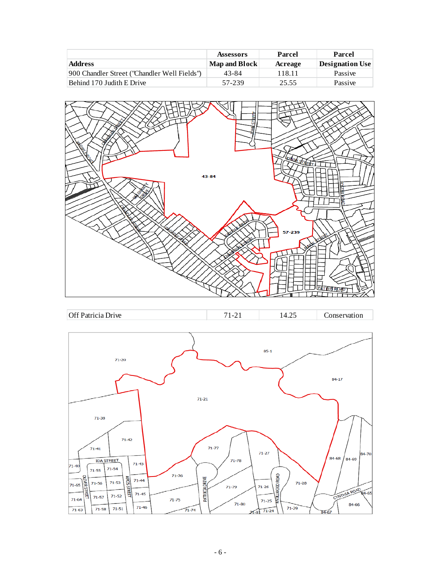|                                              | <b>Assessors</b> | Parcel  | Parcel                 |
|----------------------------------------------|------------------|---------|------------------------|
| <b>Address</b>                               | Map and Block    | Acreage | <b>Designation Use</b> |
| 900 Chandler Street ("Chandler Well Fields") | 43-84            | 118.11  | Passive                |
| Behind 170 Judith E Drive                    | 57-239           | 25.55   | Passive                |





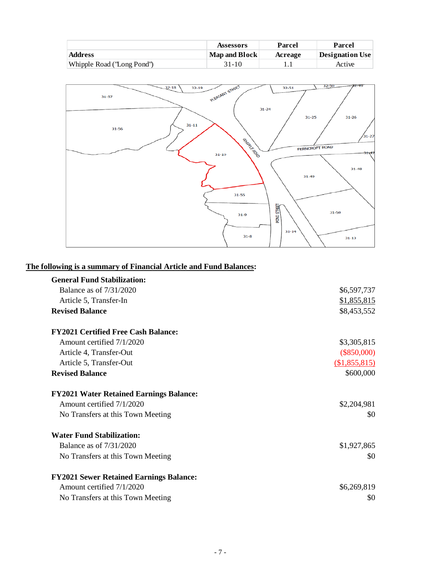|                             | Assessors            | Parcel  | Parcel                 |
|-----------------------------|----------------------|---------|------------------------|
| Address                     | <b>Map and Block</b> | Acreage | <b>Designation Use</b> |
| Whipple Road ('Long Pond'') | 31-10                |         | Active                 |



## **The following is a summary of Financial Article and Fund Balances:**

| <b>General Fund Stabilization:</b>             |               |
|------------------------------------------------|---------------|
| Balance as of 7/31/2020                        | \$6,597,737   |
| Article 5, Transfer-In                         | \$1,855,815   |
| <b>Revised Balance</b>                         | \$8,453,552   |
| <b>FY2021 Certified Free Cash Balance:</b>     |               |
| Amount certified 7/1/2020                      | \$3,305,815   |
| Article 4, Transfer-Out                        | $(\$850,000)$ |
| Article 5, Transfer-Out                        | (\$1,855,815) |
| <b>Revised Balance</b>                         | \$600,000     |
| <b>FY2021 Water Retained Earnings Balance:</b> |               |
| Amount certified 7/1/2020                      | \$2,204,981   |
| No Transfers at this Town Meeting              | \$0           |
| <b>Water Fund Stabilization:</b>               |               |
| <b>Balance as of 7/31/2020</b>                 | \$1,927,865   |
| No Transfers at this Town Meeting              | \$0           |
| <b>FY2021 Sewer Retained Earnings Balance:</b> |               |
| Amount certified 7/1/2020                      | \$6,269,819   |
| No Transfers at this Town Meeting              | \$0           |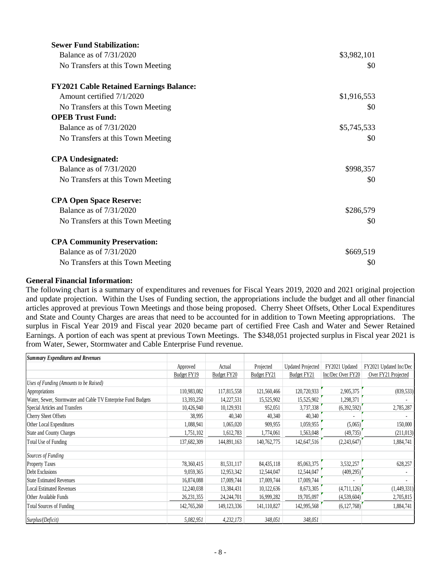| <b>Sewer Fund Stabilization:</b>               |             |
|------------------------------------------------|-------------|
| Balance as of 7/31/2020                        | \$3,982,101 |
| No Transfers at this Town Meeting              | \$0         |
| <b>FY2021 Cable Retained Earnings Balance:</b> |             |
| Amount certified 7/1/2020                      | \$1,916,553 |
| No Transfers at this Town Meeting              | \$0         |
| <b>OPEB Trust Fund:</b>                        |             |
| Balance as of 7/31/2020                        | \$5,745,533 |
| No Transfers at this Town Meeting              | \$0         |
| <b>CPA Undesignated:</b>                       |             |
| Balance as of 7/31/2020                        | \$998,357   |
| No Transfers at this Town Meeting              | \$0         |
| <b>CPA Open Space Reserve:</b>                 |             |
| Balance as of $7/31/2020$                      | \$286,579   |
| No Transfers at this Town Meeting              | \$0         |
| <b>CPA Community Preservation:</b>             |             |
| <b>Balance as of 7/31/2020</b>                 | \$669,519   |
| No Transfers at this Town Meeting              | \$0         |

### **General Financial Information:**

The following chart is a summary of expenditures and revenues for Fiscal Years 2019, 2020 and 2021 original projection and update projection. Within the Uses of Funding section, the appropriations include the budget and all other financial articles approved at previous Town Meetings and those being proposed. Cherry Sheet Offsets, Other Local Expenditures and State and County Charges are areas that need to be accounted for in addition to Town Meeting appropriations. The surplus in Fiscal Year 2019 and Fiscal year 2020 became part of certified Free Cash and Water and Sewer Retained Earnings. A portion of each was spent at previous Town Meetings. The \$348,051 projected surplus in Fiscal year 2021 is from Water, Sewer, Stormwater and Cable Enterprise Fund revenue.

| <b>Summary Expenditures and Revenues</b>                      |              |               |             |                          |                   |                        |
|---------------------------------------------------------------|--------------|---------------|-------------|--------------------------|-------------------|------------------------|
|                                                               | Approved     | Actual        | Projected   | <b>Updated Projected</b> | FY2021 Updated    | FY2021 Updated Inc/Dec |
|                                                               | Budget FY19  | Budget FY20   | Budget FY21 | Budget FY21              | Inc/Dec Over FY20 | Over FY21 Projected    |
| Uses of Funding (Amounts to be Raised)                        |              |               |             |                          |                   |                        |
| Appropriations                                                | 110,983,082  | 117,815,558   | 121,560,466 | 120,720,933              | 2,905,375         | (839, 533)             |
| Water, Sewer, Stormwater and Cable TV Enterprise Fund Budgets | 13,393,250   | 14,227,531    | 15,525,902  | 15,525,902               | 1,298,371         |                        |
| Special Articles and Transfers                                | 10,426,940   | 10,129,931    | 952,051     | 3,737,338                | (6,392,592)       | 2,785,287              |
| Cherry Sheet Offsets                                          | 38,995       | 40,340        | 40,340      | 40,340                   |                   |                        |
| Other Local Expenditures                                      | 1,088,941    | 1,065,020     | 909,955     | 1,059,955                | (5,065)           | 150,000                |
| <b>State and County Charges</b>                               | 1,751,102    | 1,612,783     | 1,774,061   | 1,563,048                | (49, 735)         | (211, 013)             |
| Total Use of Funding                                          | 137,682,309  | 144,891,163   | 140,762,775 | 142,647,516              | (2,243,647)       | 1,884,741              |
| Sources of Funding                                            |              |               |             |                          |                   |                        |
| <b>Property Taxes</b>                                         | 78,360,415   | 81,531,117    | 84,435,118  | 85,063,375               | 3,532,257         | 628,257                |
| Debt Exclusions                                               | 9,059,365    | 12,953,342    | 12,544,047  | 12,544,047               | (409, 295)        |                        |
| <b>State Estimated Revenues</b>                               | 16,874,088   | 17,009,744    | 17,009,744  | 17,009,744               |                   |                        |
| <b>Local Estimated Revenues</b>                               | 12,240,038   | 13,384,431    | 10,122,636  | 8,673,305                | (4,711,126)       | (1,449,331)            |
| Other Available Funds                                         | 26, 231, 355 | 24, 244, 701  | 16,999,282  | 19,705,097               | (4,539,604)       | 2,705,815              |
| <b>Total Sources of Funding</b>                               | 142,765,260  | 149, 123, 336 | 141,110,827 | 142,995,568              | (6, 127, 768)     | 1,884,741              |
| Surplus/(Deficit)                                             | 5,082,951    | 4, 232, 173   | 348,051     | 348,051                  |                   |                        |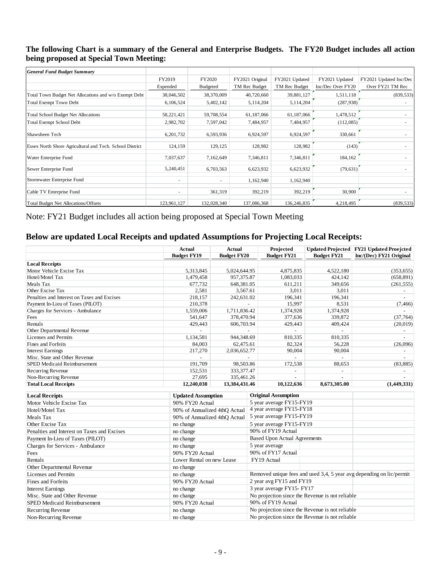## **The following Chart is a summary of the General and Enterprise Budgets. The FY20 Budget includes all action being proposed at Special Town Meeting:**

| <b>General Fund Budget Summary</b>                       |             |                          |                 |                |                   |                        |
|----------------------------------------------------------|-------------|--------------------------|-----------------|----------------|-------------------|------------------------|
|                                                          | FY2019      | FY2020                   | FY2021 Original | FY2021 Updated | FY2021 Updated    | FY2021 Updated Inc/Dec |
|                                                          | Expended    | Budgeted                 | TM Rec Budget   | TM Rec Budget  | Inc/Dec Over FY20 | Over FY21 TM Rec       |
| Total Town Budget Net Allocations and w/o Exempt Debt    | 38,046,502  | 38,370,009               | 40,720,660      | 39,881,127     | 1,511,118         | (839, 533)             |
| <b>Total Exempt Town Debt</b>                            | 6,106,524   | 5,402,142                | 5,114,204       | 5,114,204      | (287,938)         |                        |
| <b>Total School Budget Net Allocations</b>               | 58,221,421  | 59,708,554               | 61,187,066      | 61,187,066     | 1,478,512         |                        |
| <b>Total Exempt School Debt</b>                          | 2,982,702   | 7,597,042                | 7,484,957       | 7,484,957      | (112,085)         |                        |
| Shawsheen Tech                                           | 6,201,732   | 6,593,936                | 6,924,597       | 6,924,597      | 330,661           |                        |
| Essex North Shore Agricultural and Tech. School District | 124,159     | 129,125                  | 128,982         | 128,982        | (143)             |                        |
| Water Enterprise Fund                                    | 7,037,637   | 7,162,649                | 7,346,811       | 7,346,811      | 184,162           |                        |
| Sewer Enterprise Fund                                    | 5,240,451   | 6,703,563                | 6,623,932       | 6,623,932      | (79, 631)         |                        |
| Stormwater Enterprise Fund                               | ۰           | $\overline{\phantom{a}}$ | 1,162,940       | 1,162,940      |                   |                        |
| Cable TV Enterprise Fund                                 | ۰           | 361,319                  | 392,219         | 392,219        | 30,900            |                        |
| <b>Total Budget Net Allocations/Offsets</b>              | 123,961,127 | 132,028,340              | 137,086,368     | 136,246,835    | 4,218,495         | (839, 533)             |

Note: FY21 Budget includes all action being proposed at Special Town Meeting

## **Below are updated Local Receipts and updated Assumptions for Projecting Local Receipts:**

|                                             | Actual             | Actual             | Projected                | Updated Projected  | <b>FY21 Updated Proejcted</b> |
|---------------------------------------------|--------------------|--------------------|--------------------------|--------------------|-------------------------------|
|                                             | <b>Budget FY19</b> | <b>Budget FY20</b> | <b>Budget FY21</b>       | <b>Budget FY21</b> | Inc/(Dec) FY21 Original       |
| <b>Local Receipts</b>                       |                    |                    |                          |                    |                               |
| Motor Vehicle Excise Tax                    | 5,313,845          | 5.024.644.95       | 4,875,835                | 4,522,180          | (353, 655)                    |
| Hotel/Motel Tax                             | 1,479,458          | 957,375.87         | 1,083,033                | 424,142            | (658, 891)                    |
| Meals Tax                                   | 677,732            | 648,381.05         | 611,211                  | 349,656            | (261, 555)                    |
| Other Excise Tax                            | 2,581              | 3,567.61           | 3,011                    | 3,011              |                               |
| Penalties and Interest on Taxes and Excises | 218,157            | 242,631.02         | 196,341                  | 196,341            |                               |
| Payment In-Lieu of Taxes (PILOT)            | 210,378            |                    | 15,997                   | 8,531              | (7, 466)                      |
| Charges for Services - Ambulance            | 1,559,006          | 1,711,836.42       | 1,374,928                | 1,374,928          |                               |
| Fees                                        | 541.647            | 378,470.94         | 377,636                  | 339,872            | (37,764)                      |
| Rentals                                     | 429,443            | 606,703.94         | 429,443                  | 409,424            | (20,019)                      |
| Other Departmental Revenue                  |                    |                    |                          |                    |                               |
| Licenses and Permits                        | 1,134,581          | 944,348.69         | 810,335                  | 810,335            |                               |
| Fines and Forfeits                          | 84,003             | 62,475.61          | 82,324                   | 56,228             | (26,096)                      |
| <b>Interest Earnings</b>                    | 217,270            | 2,036,652.77       | 90,004                   | 90,004             |                               |
| Misc. State and Other Revenue               |                    |                    | $\overline{\phantom{a}}$ |                    |                               |
| <b>SPED Medicaid Reimbursement</b>          | 191,709            | 98,503.86          | 172,538                  | 88,653             | (83, 885)                     |
| Recurring Revenue                           | 152,531            | 333, 377. 47       | $\overline{\phantom{0}}$ |                    |                               |
| Non-Recurring Revenue                       | 27,695             | 335,461.26         | -                        | -                  |                               |
| <b>Total Local Receipts</b>                 | 12,240,038         | 13,384,431.46      | 10,122,636               | 8,673,305.00       | (1,449,331)                   |

| <b>Local Receipts</b>                       | <b>Updated Assumption</b>     | <b>Original Assumption</b>                                           |
|---------------------------------------------|-------------------------------|----------------------------------------------------------------------|
| Motor Vehicle Excise Tax                    | 90% FY20 Actual               | 5 year average FY15-FY19                                             |
| Hotel/Motel Tax                             | 90% of Annualized 4thO Actual | 4 year average FY15-FY18                                             |
| Meals Tax                                   | 90% of Annualized 4thO Actual | 5 year average FY15-FY19                                             |
| Other Excise Tax                            | no change                     | 5 year average FY15-FY19                                             |
| Penalties and Interest on Taxes and Excises | no change                     | 90% of FY19 Actual                                                   |
| Payment In-Lieu of Taxes (PILOT)            | no change                     | <b>Based Upon Actual Agreements</b>                                  |
| Charges for Services - Ambulance            | no change                     | 5 year average                                                       |
| Fees                                        | 90% FY20 Actual               | 90% of FY17 Actual                                                   |
| Rentals                                     | Lower Rental on new Lease     | FY19 Actual                                                          |
| Other Departmental Revenue                  | no change                     |                                                                      |
| Licenses and Permits                        | no change                     | Removed unique fees and used 3,4, 5 year avg depending on lic/permit |
| Fines and Forfeits                          | 90% FY20 Actual               | 2 year avg FY15 and FY19                                             |
| <b>Interest Earnings</b>                    | no change                     | 3 year average FY15-FY17                                             |
| Misc. State and Other Revenue               | no change                     | No projection since the Revenue is not reliable                      |
| <b>SPED Medicaid Reimbursement</b>          | 90% FY20 Actual               | 90% of FY19 Actual                                                   |
| Recurring Revenue                           | no change                     | No projection since the Revenue is not reliable                      |
| Non-Recurring Revenue                       | no change                     | No projection since the Revenue is not reliable                      |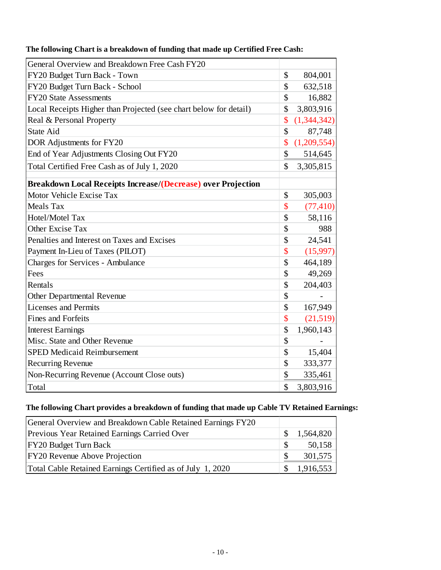| General Overview and Breakdown Free Cash FY20                     |               |             |
|-------------------------------------------------------------------|---------------|-------------|
|                                                                   |               |             |
| FY20 Budget Turn Back - Town                                      | $\mathcal{S}$ | 804,001     |
| FY20 Budget Turn Back - School                                    | \$            | 632,518     |
| <b>FY20 State Assessments</b>                                     | \$            | 16,882      |
| Local Receipts Higher than Projected (see chart below for detail) | \$            | 3,803,916   |
| Real & Personal Property                                          | \$            | (1,344,342) |
| <b>State Aid</b>                                                  | \$            | 87,748      |
| DOR Adjustments for FY20                                          | \$            | (1,209,554) |
| End of Year Adjustments Closing Out FY20                          | \$            | 514,645     |
| Total Certified Free Cash as of July 1, 2020                      | \$            | 3,305,815   |
| Breakdown Local Receipts Increase/(Decrease) over Projection      |               |             |
| Motor Vehicle Excise Tax                                          | \$            | 305,003     |
| <b>Meals Tax</b>                                                  | \$            | (77, 410)   |
| Hotel/Motel Tax                                                   | \$            | 58,116      |
| Other Excise Tax                                                  | \$            | 988         |
| Penalties and Interest on Taxes and Excises                       | \$            | 24,541      |
| Payment In-Lieu of Taxes (PILOT)                                  | \$            | (15,997)    |
| <b>Charges for Services - Ambulance</b>                           | \$            | 464,189     |
| Fees                                                              | \$            | 49,269      |
| Rentals                                                           | \$            | 204,403     |
| Other Departmental Revenue                                        | \$            |             |
| <b>Licenses and Permits</b>                                       | \$            | 167,949     |
| <b>Fines and Forfeits</b>                                         | \$            | (21,519)    |
| <b>Interest Earnings</b>                                          | \$            | 1,960,143   |
| Misc. State and Other Revenue                                     | \$            |             |
| <b>SPED Medicaid Reimbursement</b>                                | \$            | 15,404      |
| <b>Recurring Revenue</b>                                          | \$            | 333,377     |
| Non-Recurring Revenue (Account Close outs)                        | \$            | 335,461     |
| Total                                                             | \$            | 3,803,916   |

# **The following Chart is a breakdown of funding that made up Certified Free Cash:**

## **The following Chart provides a breakdown of funding that made up Cable TV Retained Earnings:**

| General Overview and Breakdown Cable Retained Earnings FY20 |    |           |
|-------------------------------------------------------------|----|-----------|
| Previous Year Retained Earnings Carried Over                | -S | 1,564,820 |
| <b>FY20 Budget Turn Back</b>                                | -S | 50,158    |
| <b>FY20</b> Revenue Above Projection                        | -8 | 301,575   |
| Total Cable Retained Earnings Certified as of July 1, 2020  |    | 1,916,553 |